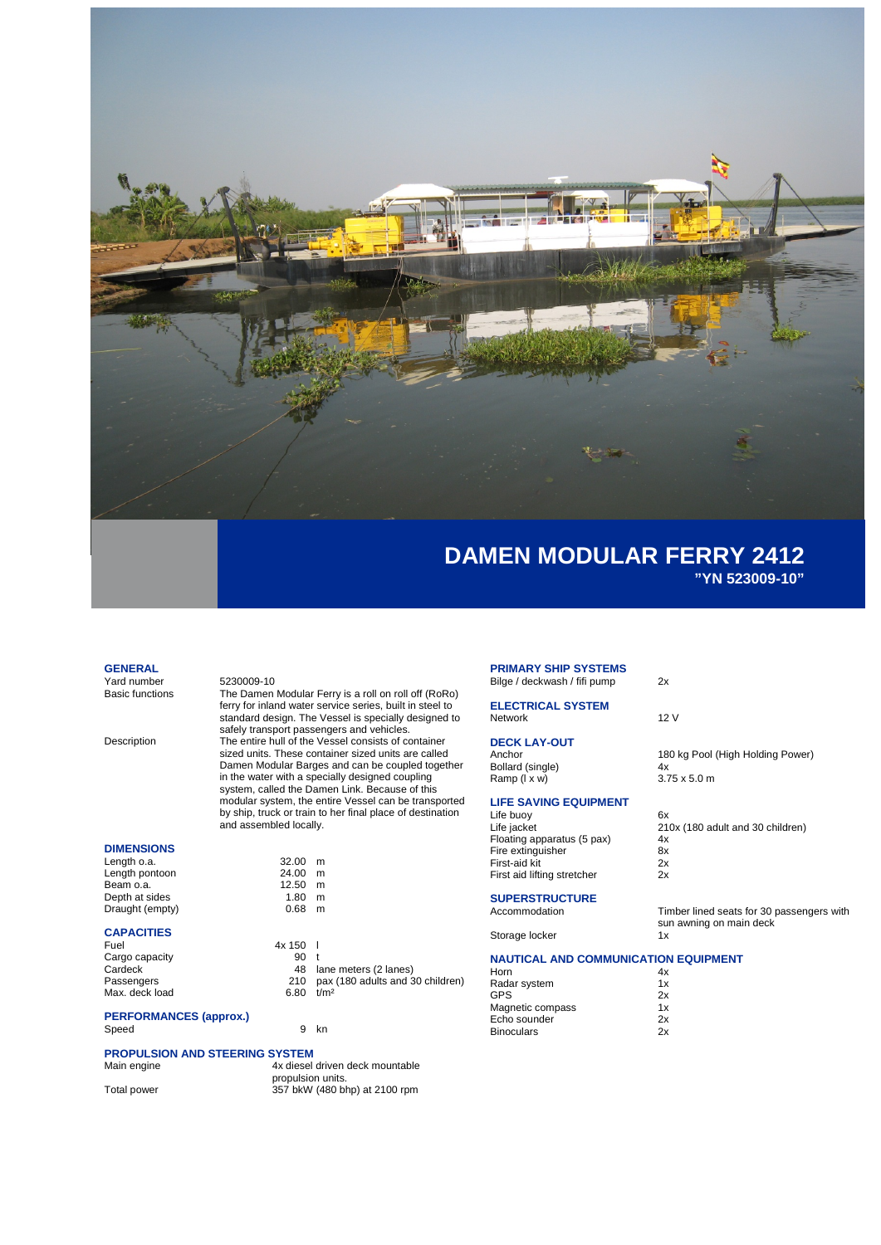

### **GENERAL**

Yard number<br>Basic functions The Damen

The Damen Modular Ferry is a roll on roll off (RoRo) ferry for inland water service series, built in steel to standard design. The Vessel is specially designed to safely transport passengers and vehicles. Description The entire hull of the Vessel consists of container sized units. These container sized units are called Damen Modular Barges and can be coupled together in the water with a specially designed coupling system, called the Damen Link. Because of this modular system, the entire Vessel can be transported by ship, truck or train to her final place of destination and assembled locally.

> $32.00$  m  $24.00$  m<br>12.50 m  $\begin{array}{cc} 1.111 & 1.11 & 1.11 & 1.11 & 1.11 & 1.11 & 1.11 & 1.11 & 1.11 & 1.11 & 1.11 & 1.11 & 1.11 & 1.11 & 1.11 & 1.11 & 1.11 & 1.11 & 1.11 & 1.11 & 1.11 & 1.11 & 1.11 & 1.11 & 1.11 & 1.11 & 1.11 & 1.11 & 1.11 & 1.11 & 1.11 & 1.11 & 1.11 & 1.11 & 1.11 & 1$

 $0.68$  m

## **DIMENSIONS**

| Length o.a.     | 32.00 | m |
|-----------------|-------|---|
| Length pontoon  | 24.00 | m |
| Beam o.a.       | 12.50 | m |
| Depth at sides  | 1.80  | m |
| Draught (empty) | 0.68  | m |
|                 |       |   |

### **CAPACITIES**

| Fuel           | 4x 150 |                                      |
|----------------|--------|--------------------------------------|
| Cargo capacity | 90.    |                                      |
| Cardeck        |        | 48 lane meters (2 lanes)             |
| Passengers     |        | 210 pax (180 adults and 30 children) |
| Max. deck load | 6.80   | t/m <sup>2</sup>                     |
|                |        |                                      |

#### **PERFORMANCES (approx.)** Speed 9 kn

# **PROPULSION AND STEERING SYSTEM**

| Main engine |  |
|-------------|--|
|             |  |

4x diesel driven deck mountable propulsion units. Total power 357 bkW (480 bhp) at 2100 rpm

#### **PRIMARY SHIP SYSTEMS** Bilge / deckwash / fifi pump 2x

**ELECTRICAL SYSTEM** Network 12 V

# **DECK LAY-OUT**

Bollard (single)  $\begin{array}{ccc} 4x & 4x \\ 4x & 3.75 \times 5.0 \text{ m} \end{array}$ Ramp (I x w)

# **LIFE SAVING EQUIPMENT**

| Life buoy                   | 6x  |
|-----------------------------|-----|
| Life jacket                 | 21( |
| Floating apparatus (5 pax)  | 4x  |
| Fire extinguisher           | 8x  |
| First-aid kit               | 2x  |
| First aid lifting stretcher | 2x  |
|                             |     |

# **SUPERSTRUCTURE**<br>Accommodation

Storage locker

## **NAUTICAL AND COMMUNICATION EQUIPMENT**

| Horn              | 4х |
|-------------------|----|
| Radar system      | 1x |
| GPS               | 2x |
| Magnetic compass  | 1x |
| Echo sounder      | 2x |
| <b>Binoculars</b> | 2x |
|                   |    |

180 kg Pool (High Holding Power)<br>4x

| Life iacket                 | 210x (180 adult and 30 children) |
|-----------------------------|----------------------------------|
| Floating apparatus (5 pax)  | 4x                               |
| Fire extinguisher           | 8x                               |
| First-aid kit               | 2x                               |
| First aid lifting stretcher | 2x                               |

Timber lined seats for 30 passengers with sun awning on main deck